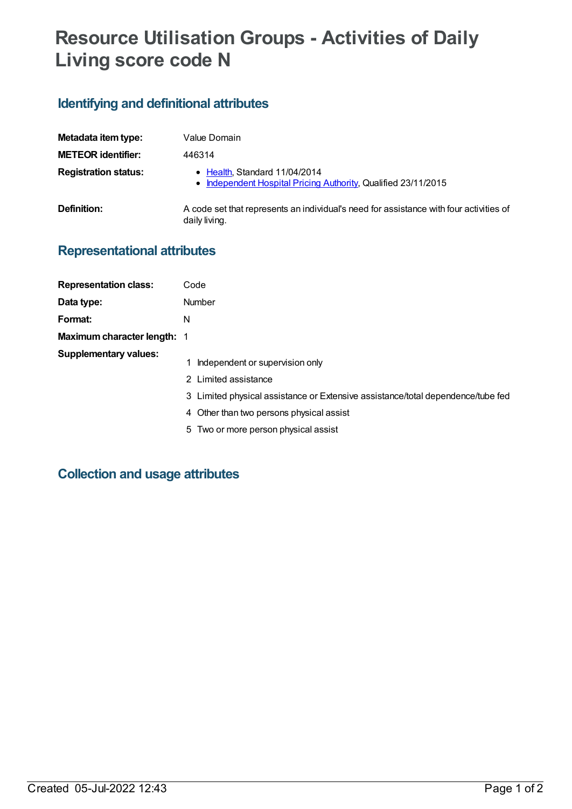# **Resource Utilisation Groups - Activities of Daily Living score code N**

## **Identifying and definitional attributes**

| Metadata item type:         | Value Domain                                                                                            |
|-----------------------------|---------------------------------------------------------------------------------------------------------|
| <b>METEOR identifier:</b>   | 446314                                                                                                  |
| <b>Registration status:</b> | • Health Standard 11/04/2014<br>• Independent Hospital Pricing Authority, Qualified 23/11/2015          |
| Definition:                 | A code set that represents an individual's need for assistance with four activities of<br>daily living. |

### **Representational attributes**

| <b>Representation class:</b> | Code                                                                                                                                                                                   |
|------------------------------|----------------------------------------------------------------------------------------------------------------------------------------------------------------------------------------|
| Data type:                   | Number                                                                                                                                                                                 |
| Format:                      | N                                                                                                                                                                                      |
| Maximum character length: 1  |                                                                                                                                                                                        |
| <b>Supplementary values:</b> | Independent or supervision only<br>2 Limited assistance<br>3 Limited physical assistance or Extensive assistance/total dependence/tube fed<br>4 Other than two persons physical assist |

5 Two or more person physical assist

### **Collection and usage attributes**